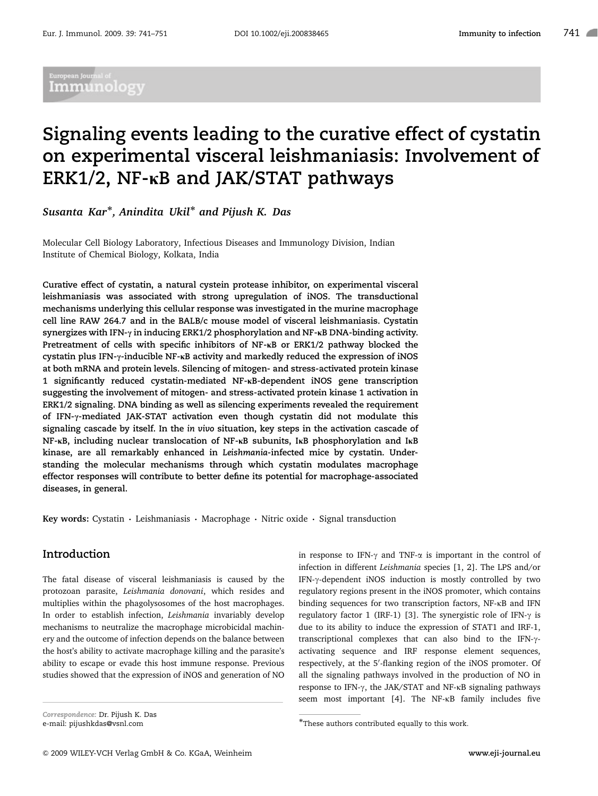## .<br>European Journal of Immunology

# Signaling events leading to the curative effect of cystatin on experimental visceral leishmaniasis: Involvement of ERK1/2,  $NF$ - $\kappa$ B and JAK/STAT pathways

.<br>Susanta Kar\*, Anindita Ukil\* and Pijush K. Das

Molecular Cell Biology Laboratory, Infectious Diseases and Immunology Division, Indian Institute of Chemical Biology, Kolkata, India

Curative effect of cystatin, a natural cystein protease inhibitor, on experimental visceral leishmaniasis was associated with strong upregulation of iNOS. The transductional mechanisms underlying this cellular response was investigated in the murine macrophage cell line RAW 264.7 and in the BALB/c mouse model of visceral leishmaniasis. Cystatin synergizes with IFN- $\gamma$  in inducing ERK1/2 phosphorylation and NF- $\kappa$ B DNA-binding activity. Pretreatment of cells with specific inhibitors of  $NF$ - $kB$  or  $ERK1/2$  pathway blocked the cystatin plus IFN- $\gamma$ -inducible NF- $\kappa$ B activity and markedly reduced the expression of iNOS at both mRNA and protein levels. Silencing of mitogen- and stress-activated protein kinase 1 significantly reduced cystatin-mediated NF-KB-dependent iNOS gene transcription suggesting the involvement of mitogen- and stress-activated protein kinase 1 activation in ERK1/2 signaling. DNA binding as well as silencing experiments revealed the requirement of IFN-y-mediated JAK-STAT activation even though cystatin did not modulate this signaling cascade by itself. In the in vivo situation, key steps in the activation cascade of  $NF$ - $k$ B, including nuclear translocation of NF- $k$ B subunits, I $k$ B phosphorylation and I $k$ B kinase, are all remarkably enhanced in Leishmania-infected mice by cystatin. Understanding the molecular mechanisms through which cystatin modulates macrophage effector responses will contribute to better define its potential for macrophage-associated diseases, in general.

Key words: Cystatin  $\cdot$  Leishmaniasis  $\cdot$  Macrophage  $\cdot$  Nitric oxide  $\cdot$  Signal transduction

## Introduction

The fatal disease of visceral leishmaniasis is caused by the protozoan parasite, Leishmania donovani, which resides and multiplies within the phagolysosomes of the host macrophages. In order to establish infection, Leishmania invariably develop mechanisms to neutralize the macrophage microbicidal machinery and the outcome of infection depends on the balance between the host's ability to activate macrophage killing and the parasite's ability to escape or evade this host immune response. Previous studies showed that the expression of iNOS and generation of NO

Correspondence: Dr. Pijush K. Das e-mail: pijushkdas@vsnl.com

in response to IFN- $\gamma$  and TNF- $\alpha$  is important in the control of infection in different Leishmania species [1, 2]. The LPS and/or IFN-y-dependent iNOS induction is mostly controlled by two regulatory regions present in the iNOS promoter, which contains binding sequences for two transcription factors, NF-kB and IFN regulatory factor 1 (IRF-1) [3]. The synergistic role of IFN- $\gamma$  is due to its ability to induce the expression of STAT1 and IRF-1, transcriptional complexes that can also bind to the IFN- $\gamma$ activating sequence and IRF response element sequences, respectively, at the 5'-flanking region of the iNOS promoter. Of all the signaling pathways involved in the production of NO in response to IFN- $\gamma$ , the JAK/STAT and NF- $\kappa$ B signaling pathways seem most important [4]. The NF-kB family includes five

<sup>-</sup> These authors contributed equally to this work.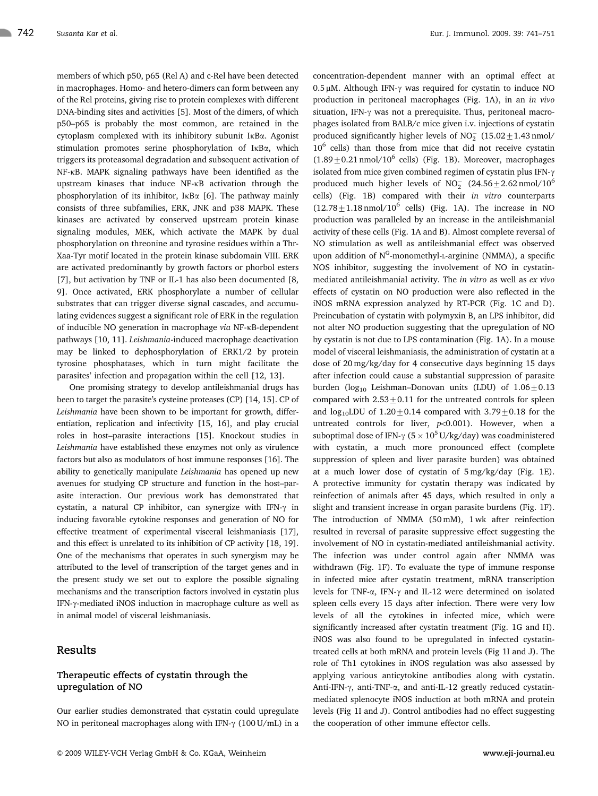members of which p50, p65 (Rel A) and c-Rel have been detected in macrophages. Homo- and hetero-dimers can form between any of the Rel proteins, giving rise to protein complexes with different DNA-binding sites and activities [5]. Most of the dimers, of which p50–p65 is probably the most common, are retained in the cytoplasm complexed with its inhibitory subunit IkBa. Agonist stimulation promotes serine phosphorylation of IkBa, which triggers its proteasomal degradation and subsequent activation of NF-kB. MAPK signaling pathways have been identified as the upstream kinases that induce NF-kB activation through the phosphorylation of its inhibitor, IKB $\alpha$  [6]. The pathway mainly consists of three subfamilies, ERK, JNK and p38 MAPK. These kinases are activated by conserved upstream protein kinase signaling modules, MEK, which activate the MAPK by dual phosphorylation on threonine and tyrosine residues within a Thr-Xaa-Tyr motif located in the protein kinase subdomain VIII. ERK are activated predominantly by growth factors or phorbol esters [7], but activation by TNF or IL-1 has also been documented [8, 9]. Once activated, ERK phosphorylate a number of cellular substrates that can trigger diverse signal cascades, and accumulating evidences suggest a significant role of ERK in the regulation of inducible NO generation in macrophage via NF-kB-dependent pathways [10, 11]. Leishmania-induced macrophage deactivation may be linked to dephosphorylation of ERK1/2 by protein tyrosine phosphatases, which in turn might facilitate the parasites' infection and propagation within the cell [12, 13].

One promising strategy to develop antileishmanial drugs has been to target the parasite's cysteine proteases (CP) [14, 15]. CP of Leishmania have been shown to be important for growth, differentiation, replication and infectivity [15, 16], and play crucial roles in host–parasite interactions [15]. Knockout studies in Leishmania have established these enzymes not only as virulence factors but also as modulators of host immune responses [16]. The ability to genetically manipulate Leishmania has opened up new avenues for studying CP structure and function in the host–parasite interaction. Our previous work has demonstrated that cystatin, a natural CP inhibitor, can synergize with IFN- $\gamma$  in inducing favorable cytokine responses and generation of NO for effective treatment of experimental visceral leishmaniasis [17], and this effect is unrelated to its inhibition of CP activity [18, 19]. One of the mechanisms that operates in such synergism may be attributed to the level of transcription of the target genes and in the present study we set out to explore the possible signaling mechanisms and the transcription factors involved in cystatin plus IFN- $\gamma$ -mediated iNOS induction in macrophage culture as well as in animal model of visceral leishmaniasis.

## Results

## Therapeutic effects of cystatin through the upregulation of NO

Our earlier studies demonstrated that cystatin could upregulate NO in peritoneal macrophages along with IFN- $\gamma$  (100 U/mL) in a concentration-dependent manner with an optimal effect at 0.5  $\mu$ M. Although IFN- $\gamma$  was required for cystatin to induce NO production in peritoneal macrophages (Fig. 1A), in an in vivo situation, IFN- $\gamma$  was not a prerequisite. Thus, peritoneal macrophages isolated from BALB/c mice given i.v. injections of cystatin produced significantly higher levels of  $NO_2^-$  (15.02  $\pm$  1.43 nmol/ 10<sup>6</sup> cells) than those from mice that did not receive cystatin  $(1.89 \pm 0.21 \text{ nmol}/10^6 \text{ cells})$  (Fig. 1B). Moreover, macrophages isolated from mice given combined regimen of cystatin plus IFN-g produced much higher levels of  $NO_2^-$  (24.56  $\pm$  2.62 nmol/10<sup>6</sup> cells) (Fig. 1B) compared with their in vitro counterparts  $(12.78 \pm 1.18 \text{ nmol}/10^6 \text{ cells})$  (Fig. 1A). The increase in NO production was paralleled by an increase in the antileishmanial activity of these cells (Fig. 1A and B). Almost complete reversal of NO stimulation as well as antileishmanial effect was observed upon addition of N<sup>G</sup>-monomethyl-L-arginine (NMMA), a specific NOS inhibitor, suggesting the involvement of NO in cystatinmediated antileishmanial activity. The in vitro as well as ex vivo effects of cystatin on NO production were also reflected in the iNOS mRNA expression analyzed by RT-PCR (Fig. 1C and D). Preincubation of cystatin with polymyxin B, an LPS inhibitor, did not alter NO production suggesting that the upregulation of NO by cystatin is not due to LPS contamination (Fig. 1A). In a mouse model of visceral leishmaniasis, the administration of cystatin at a dose of 20 mg/kg/day for 4 consecutive days beginning 15 days after infection could cause a substantial suppression of parasite burden (log<sub>10</sub> Leishman–Donovan units (LDU) of  $1.06 \pm 0.13$ compared with  $2.53\pm0.11$  for the untreated controls for spleen and  $log_{10}$ LDU of  $1.20 \pm 0.14$  compared with  $3.79 \pm 0.18$  for the untreated controls for liver,  $p<0.001$ ). However, when a suboptimal dose of IFN- $\gamma$  (5  $\times$  10<sup>5</sup> U/kg/day) was coadministered with cystatin, a much more pronounced effect (complete suppression of spleen and liver parasite burden) was obtained at a much lower dose of cystatin of 5 mg/kg/day (Fig. 1E). A protective immunity for cystatin therapy was indicated by reinfection of animals after 45 days, which resulted in only a slight and transient increase in organ parasite burdens (Fig. 1F). The introduction of NMMA (50 mM), 1 wk after reinfection resulted in reversal of parasite suppressive effect suggesting the involvement of NO in cystatin-mediated antileishmanial activity. The infection was under control again after NMMA was withdrawn (Fig. 1F). To evaluate the type of immune response in infected mice after cystatin treatment, mRNA transcription levels for TNF- $\alpha$ , IFN- $\gamma$  and IL-12 were determined on isolated spleen cells every 15 days after infection. There were very low levels of all the cytokines in infected mice, which were significantly increased after cystatin treatment (Fig. 1G and H). iNOS was also found to be upregulated in infected cystatintreated cells at both mRNA and protein levels (Fig 1I and J). The role of Th1 cytokines in iNOS regulation was also assessed by applying various anticytokine antibodies along with cystatin. Anti-IFN- $\gamma$ , anti-TNF- $\alpha$ , and anti-IL-12 greatly reduced cystatinmediated splenocyte iNOS induction at both mRNA and protein levels (Fig 1I and J). Control antibodies had no effect suggesting the cooperation of other immune effector cells.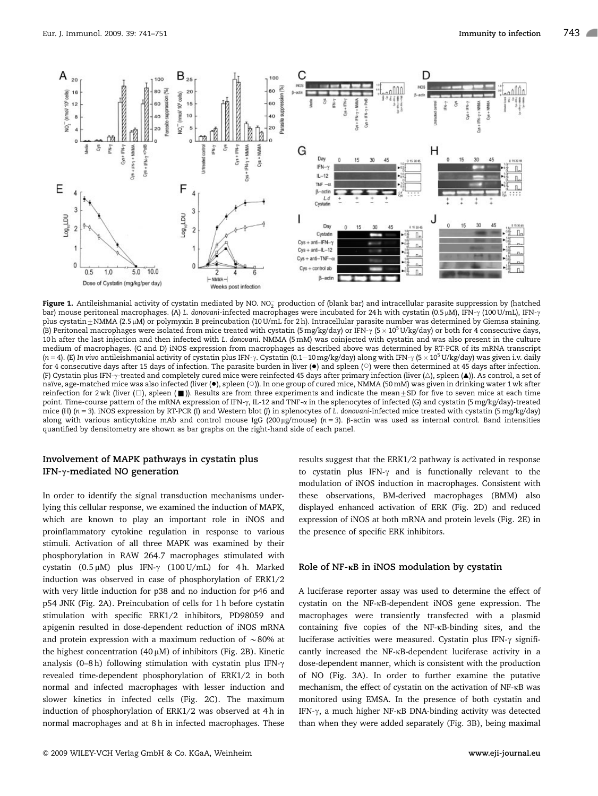

Figure 1. Antileishmanial activity of cystatin mediated by NO. NO $_2^-$  production of (blank bar) and intracellular parasite suppression by (hatched bar) mouse peritoneal macrophages. (A) L. donovani-infected macrophages were incubated for 24 h with cystatin (0.5 µM), IFN- $\gamma$  (100 U/mL), IFN- $\gamma$ plus cystatin ±NMMA (2.5 µM) or polymyxin B preincubation (10 U/mL for 2 h). Intracellular parasite number was determined by Giemsa staining. (B) Peritoneal macrophages were isolated from mice treated with cystatin (5 mg/kg/day) or IFN- $\gamma$  (5 × 10<sup>5</sup> U/kg/day) or both for 4 consecutive days, 10 h after the last injection and then infected with L. donovani. NMMA (5 mM) was coinjected with cystatin and was also present in the culture medium of macrophages. (C and D) iNOS expression from macrophages as described above was determined by RT-PCR of its mRNA transcript (n = 4). (E) In vivo antileishmanial activity of cystatin plus IFN- $\gamma$ . Cystatin (0.1–10 mg/kg/day) along with IFN- $\gamma$  (5  $\times$  10<sup>5</sup> U/kg/day) was given i.v. daily for 4 consecutive days after 15 days of infection. The parasite burden in liver  $(\bullet)$  and spleen ( $\circ$ ) were then determined at 45 days after infection. (F) Cystatin plus IFN- $\gamma$ -treated and completely cured mice were reinfected 45 days after primary infection (liver ( $\triangle$ ), spleen ( $\blacktriangle$ )). As control, a set of naïve, age-matched mice was also infected (liver (·), spleen (○)). In one group of cured mice, NMMA (50 mM) was given in drinking water 1 wk after reinfection for 2 wk (liver ( $\Box$ ), spleen ( $\blacksquare$ )). Results are from three experiments and indicate the mean $\pm$ SD for five to seven mice at each time point. Time-course pattern of the mRNA expression of IFN- $\gamma$ , IL-12 and TNF- $\alpha$  in the splenocytes of infected (G) and cystatin (5 mg/kg/day)-treated mice (H)  $(n = 3)$ . iNOS expression by RT-PCR (I) and Western blot (J) in splenocytes of L. donovani-infected mice treated with cystatin (5 mg/kg/day) along with various anticytokine mAb and control mouse IgG (200 µg/mouse) (n = 3).  $\beta$ -actin was used as internal control. Band intensities quantified by densitometry are shown as bar graphs on the right-hand side of each panel.

## Involvement of MAPK pathways in cystatin plus IFN- $\gamma$ -mediated NO generation

In order to identify the signal transduction mechanisms underlying this cellular response, we examined the induction of MAPK, which are known to play an important role in iNOS and proinflammatory cytokine regulation in response to various stimuli. Activation of all three MAPK was examined by their phosphorylation in RAW 264.7 macrophages stimulated with cystatin (0.5  $\mu$ M) plus IFN- $\gamma$  (100 U/mL) for 4 h. Marked induction was observed in case of phosphorylation of ERK1/2 with very little induction for p38 and no induction for p46 and p54 JNK (Fig. 2A). Preincubation of cells for 1 h before cystatin stimulation with specific ERK1/2 inhibitors, PD98059 and apigenin resulted in dose-dependent reduction of iNOS mRNA and protein expression with a maximum reduction of  $\sim 80\%$  at the highest concentration (40  $\mu$ M) of inhibitors (Fig. 2B). Kinetic analysis (0–8 h) following stimulation with cystatin plus IFN- $\gamma$ revealed time-dependent phosphorylation of ERK1/2 in both normal and infected macrophages with lesser induction and slower kinetics in infected cells (Fig. 2C). The maximum induction of phosphorylation of ERK1/2 was observed at 4h in normal macrophages and at 8 h in infected macrophages. These

results suggest that the ERK1/2 pathway is activated in response to cystatin plus IFN- $\gamma$  and is functionally relevant to the modulation of iNOS induction in macrophages. Consistent with these observations, BM-derived macrophages (BMM) also displayed enhanced activation of ERK (Fig. 2D) and reduced expression of iNOS at both mRNA and protein levels (Fig. 2E) in the presence of specific ERK inhibitors.

#### Role of  $NF$ - $\kappa$ B in iNOS modulation by cystatin

A luciferase reporter assay was used to determine the effect of cystatin on the NF-kB-dependent iNOS gene expression. The macrophages were transiently transfected with a plasmid containing five copies of the NF-kB-binding sites, and the luciferase activities were measured. Cystatin plus IFN- $\gamma$  significantly increased the NF-kB-dependent luciferase activity in a dose-dependent manner, which is consistent with the production of NO (Fig. 3A). In order to further examine the putative mechanism, the effect of cystatin on the activation of NF-kB was monitored using EMSA. In the presence of both cystatin and IFN- $\gamma$ , a much higher NF-kB DNA-binding activity was detected than when they were added separately (Fig. 3B), being maximal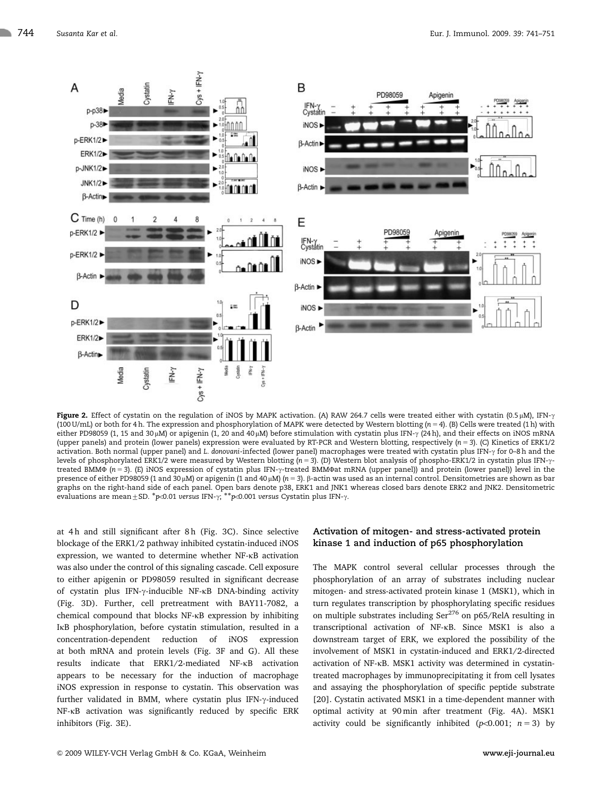

Figure 2. Effect of cystatin on the regulation of iNOS by MAPK activation. (A) RAW 264.7 cells were treated either with cystatin (0.5 µM), IFN- $\gamma$ (100 U/mL) or both for 4 h. The expression and phosphorylation of MAPK were detected by Western blotting ( $n = 4$ ). (B) Cells were treated (1 h) with either PD98059 (1, 15 and 30  $\mu$ M) or apigenin (1, 20 and 40  $\mu$ M) before stimulation with cystatin plus IFN- $\gamma$  (24 h), and their effects on iNOS mRNA (upper panels) and protein (lower panels) expression were evaluated by RT-PCR and Western blotting, respectively ( $n = 3$ ). (C) Kinetics of ERK1/2 activation. Both normal (upper panel) and L. donovani-infected (lower panel) macrophages were treated with cystatin plus IFN-g for 0–8 h and the levels of phosphorylated ERK1/2 were measured by Western blotting ( $n = 3$ ). (D) Western blot analysis of phospho-ERK1/2 in cystatin plus IFN- $\gamma$ treated BMM $\Phi$  (n = 3). (E) iNOS expression of cystatin plus IFN- $\gamma$ -treated BMM $\Phi$ at mRNA (upper panel)) and protein (lower panel)) level in the presence of either PD98059 (1 and 30  $\mu$ M) or apigenin (1 and 40  $\mu$ M) (n = 3).  $\beta$ -actin was used as an internal control. Densitometries are shown as bar graphs on the right-hand side of each panel. Open bars denote p38, ERK1 and JNK1 whereas closed bars denote ERK2 and JNK2. Densitometric graphs on the right hand side of each panel. Open bars denote β50, Each and JWN1<br>evaluations are mean±SD. \*p<0.01 versus IFN-γ; \*\*p<0.001 versus Cystatin plus IFN-γ.

at 4h and still significant after 8h (Fig. 3C). Since selective blockage of the ERK1/2 pathway inhibited cystatin-induced iNOS expression, we wanted to determine whether NF-kB activation was also under the control of this signaling cascade. Cell exposure to either apigenin or PD98059 resulted in significant decrease of cystatin plus IFN-g-inducible NF-kB DNA-binding activity (Fig. 3D). Further, cell pretreatment with BAY11-7082, a chemical compound that blocks NF-kB expression by inhibiting IkB phosphorylation, before cystatin stimulation, resulted in a concentration-dependent reduction of iNOS expression at both mRNA and protein levels (Fig. 3F and G). All these results indicate that ERK1/2-mediated NF-kB activation appears to be necessary for the induction of macrophage iNOS expression in response to cystatin. This observation was further validated in BMM, where cystatin plus IFN-y-induced NF-kB activation was significantly reduced by specific ERK inhibitors (Fig. 3E).

## Activation of mitogen- and stress-activated protein kinase 1 and induction of p65 phosphorylation

The MAPK control several cellular processes through the phosphorylation of an array of substrates including nuclear mitogen- and stress-activated protein kinase 1 (MSK1), which in turn regulates transcription by phosphorylating specific residues on multiple substrates including Ser<sup>276</sup> on p65/RelA resulting in transcriptional activation of NF-kB. Since MSK1 is also a downstream target of ERK, we explored the possibility of the involvement of MSK1 in cystatin-induced and ERK1/2-directed activation of NF-kB. MSK1 activity was determined in cystatintreated macrophages by immunoprecipitating it from cell lysates and assaying the phosphorylation of specific peptide substrate [20]. Cystatin activated MSK1 in a time-dependent manner with optimal activity at 90 min after treatment (Fig. 4A). MSK1 activity could be significantly inhibited ( $p$ <0.001;  $n = 3$ ) by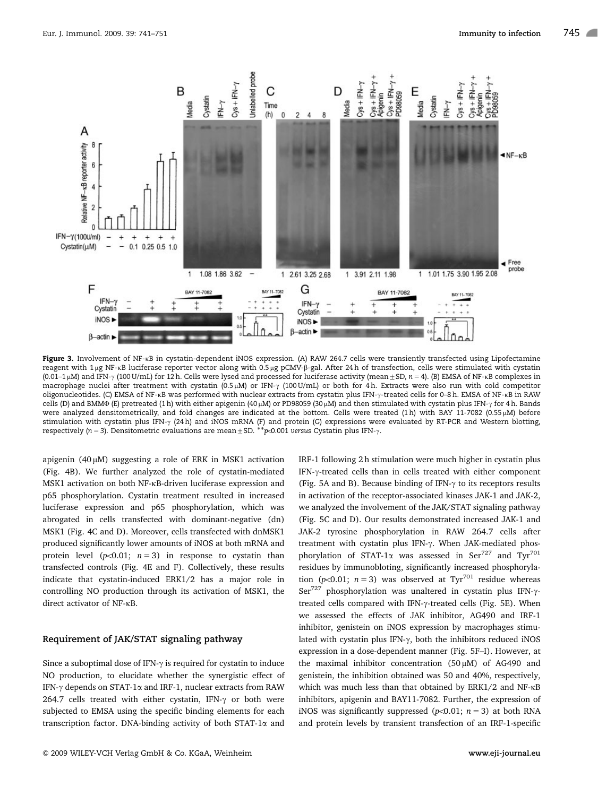

Figure 3. Involvement of NF-kB in cystatin-dependent iNOS expression. (A) RAW 264.7 cells were transiently transfected using Lipofectamine reagent with 1 µg NF-kB luciferase reporter vector along with 0.5 µg pCMV- $\beta$ -gal. After 24 h of transfection, cells were stimulated with cystatin  $(0.01-1 \mu)$  and IFN- $\gamma$  (100 U/mL) for 12 h. Cells were lysed and processed for luciferase activity (mean  $\pm$  SD, n = 4). (B) EMSA of NF-kB complexes in macrophage nuclei after treatment with cystatin (0.5  $\mu$ M) or IFN- $\gamma$  (100 U/mL) or both for 4 h. Extracts were also run with cold competitor oligonucleotides. (C) EMSA of NF-kB was performed with nuclear extracts from cystatin plus IFN-g-treated cells for 0–8 h. EMSA of NF-kB in RAW cells (D) and BMM $\Phi$  (E) pretreated (1 h) with either apigenin (40 µM) or PD98059 (30 µM) and then stimulated with cystatin plus IFN- $\gamma$  for 4 h. Bands were analyzed densitometrically, and fold changes are indicated at the bottom. Cells were treated (1h) with BAY 11-7082 (0.55  $\mu$ M) before stimulation with cystatin plus IFN- $\gamma$  (24 h) and iNOS mRNA (F) and protein (G) expressions were evaluated by RT-PCR and Western blotting, ounidiation with cystatin plus inv-γ (2+11) and nocs innovi (1) and protein (c) expressions were<br>respectively (n = 3). Densitometric evaluations are mean ± SD. \*\*p<br/><br/>O.001 versus Cystatin plus IFN-γ.

apigenin  $(40 \mu M)$  suggesting a role of ERK in MSK1 activation (Fig. 4B). We further analyzed the role of cystatin-mediated MSK1 activation on both NF-kB-driven luciferase expression and p65 phosphorylation. Cystatin treatment resulted in increased luciferase expression and p65 phosphorylation, which was abrogated in cells transfected with dominant-negative (dn) MSK1 (Fig. 4C and D). Moreover, cells transfected with dnMSK1 produced significantly lower amounts of iNOS at both mRNA and protein level ( $p<0.01$ ;  $n=3$ ) in response to cystatin than transfected controls (Fig. 4E and F). Collectively, these results indicate that cystatin-induced ERK1/2 has a major role in controlling NO production through its activation of MSK1, the direct activator of NF-kB.

#### Requirement of JAK/STAT signaling pathway

Since a suboptimal dose of IFN- $\gamma$  is required for cystatin to induce NO production, to elucidate whether the synergistic effect of IFN- $\gamma$  depends on STAT-1 $\alpha$  and IRF-1, nuclear extracts from RAW 264.7 cells treated with either cystatin, IFN- $\gamma$  or both were subjected to EMSA using the specific binding elements for each transcription factor. DNA-binding activity of both STAT-1 $\alpha$  and

IRF-1 following 2 h stimulation were much higher in cystatin plus IFN-y-treated cells than in cells treated with either component (Fig. 5A and B). Because binding of IFN- $\gamma$  to its receptors results in activation of the receptor-associated kinases JAK-1 and JAK-2, we analyzed the involvement of the JAK/STAT signaling pathway (Fig. 5C and D). Our results demonstrated increased JAK-1 and JAK-2 tyrosine phosphorylation in RAW 264.7 cells after treatment with cystatin plus IFN-γ. When JAK-mediated phosphorylation of STAT-1 $\alpha$  was assessed in Ser<sup>727</sup> and Tyr<sup>701</sup> residues by immunobloting, significantly increased phosphorylation ( $p<0.01$ ;  $n=3$ ) was observed at Tyr<sup>701</sup> residue whereas Ser<sup>727</sup> phosphorylation was unaltered in cystatin plus IFN- $\gamma$ treated cells compared with IFN- $\gamma$ -treated cells (Fig. 5E). When we assessed the effects of JAK inhibitor, AG490 and IRF-1 inhibitor, genistein on iNOS expression by macrophages stimulated with cystatin plus IFN- $\gamma$ , both the inhibitors reduced iNOS expression in a dose-dependent manner (Fig. 5F–I). However, at the maximal inhibitor concentration  $(50 \mu M)$  of AG490 and genistein, the inhibition obtained was 50 and 40%, respectively, which was much less than that obtained by ERK1/2 and NF-kB inhibitors, apigenin and BAY11-7082. Further, the expression of iNOS was significantly suppressed ( $p<0.01$ ;  $n = 3$ ) at both RNA and protein levels by transient transfection of an IRF-1-specific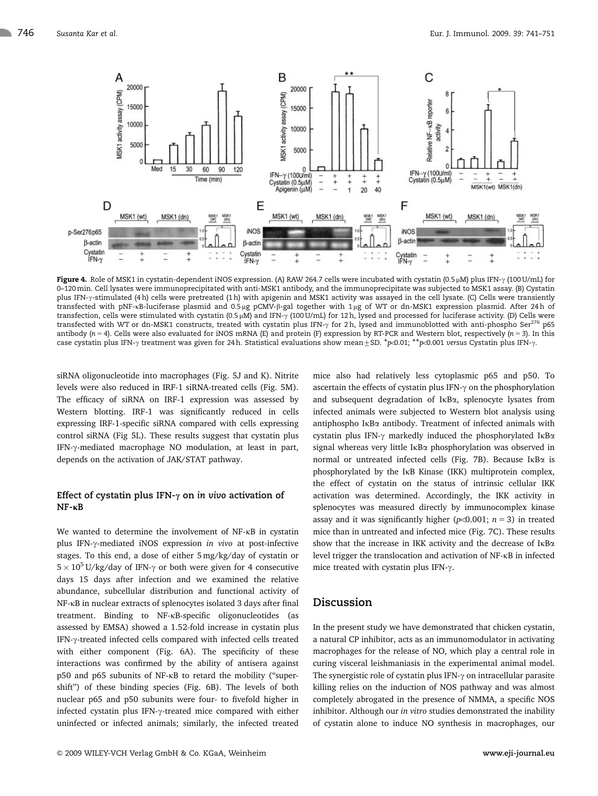

Figure 4. Role of MSK1 in cystatin-dependent iNOS expression. (A) RAW 264.7 cells were incubated with cystatin (0.5 µM) plus IFN- $\gamma$  (100 U/mL) for 0–120 min. Cell lysates were immunoprecipitated with anti-MSK1 antibody, and the immunoprecipitate was subjected to MSK1 assay. (B) Cystatin plus IFN- $\gamma$ -stimulated (4 h) cells were pretreated (1 h) with apigenin and MSK1 activity was assayed in the cell lysate. (C) Cells were transiently transfected with pNF-kB-luciferase plasmid and 0.5 µg pCMV-β-gal together with 1 µg of WT or dn-MSK1 expression plasmid. After 24h of transfection, cells were stimulated with cystatin (0.5  $\mu$ M) and IFN- $\gamma$  (100 U/mL) for 12 h, lysed and processed for luciferase activity. (D) Cells were transfected with WT or dn-MSK1 constructs, treated with cystatin plus IFN- $\gamma$  for 2 h, lysed and immunoblotted with anti-phospho Ser<sup>276</sup> p65 antibody ( $n = 4$ ). Cells were also evaluated for iNOS mRNA (E) and protein (F) expression by RT-PCR and Western blot, respectively ( $n = 3$ ). In this case cystatin plus IFN- $\gamma$  treatment was given for 24 h. Statistical evaluations show mean  $\pm$  SD.  $*$  $\infty$ 0.01;  $**\infty$ 0.001 versus Cystatin plus IFN- $\gamma$ .

siRNA oligonucleotide into macrophages (Fig. 5J and K). Nitrite levels were also reduced in IRF-1 siRNA-treated cells (Fig. 5M). The efficacy of siRNA on IRF-1 expression was assessed by Western blotting. IRF-1 was significantly reduced in cells expressing IRF-1-specific siRNA compared with cells expressing control siRNA (Fig 5L). These results suggest that cystatin plus IFN- $\gamma$ -mediated macrophage NO modulation, at least in part, depends on the activation of JAK/STAT pathway.

## Effect of cystatin plus IFN- $\gamma$  on in vivo activation of  $NF -<sub>K</sub>B$

We wanted to determine the involvement of NF- $\kappa$ B in cystatin plus IFN-g-mediated iNOS expression in vivo at post-infective stages. To this end, a dose of either 5 mg/kg/day of cystatin or  $5 \times 10^5$  U/kg/day of IFN- $\gamma$  or both were given for 4 consecutive days 15 days after infection and we examined the relative abundance, subcellular distribution and functional activity of NF-kB in nuclear extracts of splenocytes isolated 3 days after final treatment. Binding to NF-kB-specific oligonucleotides (as assessed by EMSA) showed a 1.52-fold increase in cystatin plus IFN- $\gamma$ -treated infected cells compared with infected cells treated with either component (Fig. 6A). The specificity of these interactions was confirmed by the ability of antisera against p50 and p65 subunits of NF-KB to retard the mobility ("supershift'') of these binding species (Fig. 6B). The levels of both nuclear p65 and p50 subunits were four- to fivefold higher in infected cystatin plus IFN- $\gamma$ -treated mice compared with either uninfected or infected animals; similarly, the infected treated

& 2009 WILEY-VCH Verlag GmbH & Co. KGaA, Weinheim www.eji-journal.eu

mice also had relatively less cytoplasmic p65 and p50. To ascertain the effects of cystatin plus IFN- $\gamma$  on the phosphorylation and subsequent degradation of IkBa, splenocyte lysates from infected animals were subjected to Western blot analysis using antiphospho IkBa antibody. Treatment of infected animals with cystatin plus IFN- $\gamma$  markedly induced the phosphorylated IKB $\alpha$ signal whereas very little I<sub>KB $\alpha$ </sub> phosphorylation was observed in normal or untreated infected cells (Fig. 7B). Because IkBa is phosphorylated by the IkB Kinase (IKK) multiprotein complex, the effect of cystatin on the status of intrinsic cellular IKK activation was determined. Accordingly, the IKK activity in splenocytes was measured directly by immunocomplex kinase assay and it was significantly higher ( $p<0.001$ ;  $n = 3$ ) in treated mice than in untreated and infected mice (Fig. 7C). These results show that the increase in IKK activity and the decrease of  $I\kappa B\alpha$ level trigger the translocation and activation of NF-kB in infected mice treated with cystatin plus IFN- $\gamma$ .

## Discussion

In the present study we have demonstrated that chicken cystatin, a natural CP inhibitor, acts as an immunomodulator in activating macrophages for the release of NO, which play a central role in curing visceral leishmaniasis in the experimental animal model. The synergistic role of cystatin plus IFN- $\gamma$  on intracellular parasite killing relies on the induction of NOS pathway and was almost completely abrogated in the presence of NMMA, a specific NOS inhibitor. Although our in vitro studies demonstrated the inability of cystatin alone to induce NO synthesis in macrophages, our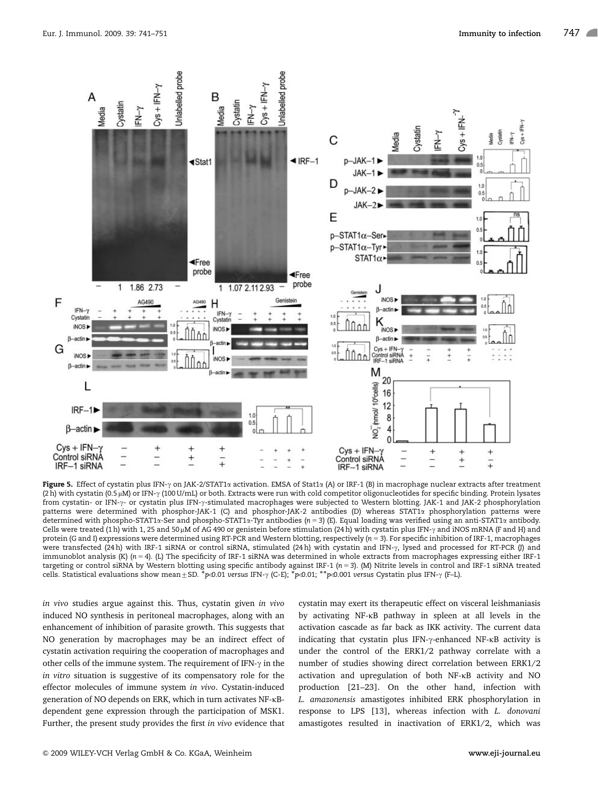

Figure 5. Effect of cystatin plus IFN- $\gamma$  on JAK-2/STAT1 $\alpha$  activation. EMSA of Stat1 $\alpha$  (A) or IRF-1 (B) in macrophage nuclear extracts after treatment (2 h) with cystatin (0.5 µM) or IFN- $\gamma$  (100 U/mL) or both. Extracts were run with cold competitor oligonucleotides for specific binding. Protein lysates from cystatin- or IFN- $\gamma$ - or cystatin plus IFN- $\gamma$ -stimulated macrophages were subjected to Western blotting. JAK-1 and JAK-2 phosphorylation patterns were determined with phosphor-JAK-1 (C) and phosphor-JAK-2 antibodies (D) whereas STAT1a phosphorylation patterns were determined with phospho-STAT1a-Ser and phospho-STAT1a-Tyr antibodies (n = 3) (E). Equal loading was verified using an anti-STAT1a antibody. Cells were treated (1 h) with 1, 25 and 50 µM of AG 490 or genistein before stimulation (24 h) with cystatin plus IFN- $\gamma$  and iNOS mRNA (F and H) and protein (G and I) expressions were determined using RT-PCR and Western blotting, respectively ( $n = 3$ ). For specific inhibition of IRF-1, macrophages were transfected (24h) with IRF-1 siRNA or control siRNA, stimulated (24h) with cystatin and IFN- $\gamma$ , lysed and processed for RT-PCR (J) and immunoblot analysis (K) ( $n = 4$ ). (L) The specificity of IRF-1 siRNA was determined in whole extracts from macrophages expressing either IRF-1 targeting or control siRNA by Western blotting using specific antibody against IRF-1 (n 5 3). (M) Nitrite levels in control and IRF-1 siRNA treated the cells. Statistical evaluations show mean ± SD. \*p<0.01 versus IFN-γ (C-E); \*p<0.01; \*\*p<0.001 versus Cystatin plus IFN-γ (F–L).

in vivo studies argue against this. Thus, cystatin given in vivo induced NO synthesis in peritoneal macrophages, along with an enhancement of inhibition of parasite growth. This suggests that NO generation by macrophages may be an indirect effect of cystatin activation requiring the cooperation of macrophages and other cells of the immune system. The requirement of IFN- $\gamma$  in the in vitro situation is suggestive of its compensatory role for the effector molecules of immune system in vivo. Cystatin-induced generation of NO depends on ERK, which in turn activates NF-kBdependent gene expression through the participation of MSK1. Further, the present study provides the first in vivo evidence that

cystatin may exert its therapeutic effect on visceral leishmaniasis by activating NF-kB pathway in spleen at all levels in the activation cascade as far back as IKK activity. The current data indicating that cystatin plus IFN-g-enhanced NF-kB activity is under the control of the ERK1/2 pathway correlate with a number of studies showing direct correlation between ERK1/2 activation and upregulation of both NF-kB activity and NO production [21–23]. On the other hand, infection with L. amazonensis amastigotes inhibited ERK phosphorylation in response to LPS [13], whereas infection with L. donovani amastigotes resulted in inactivation of ERK1/2, which was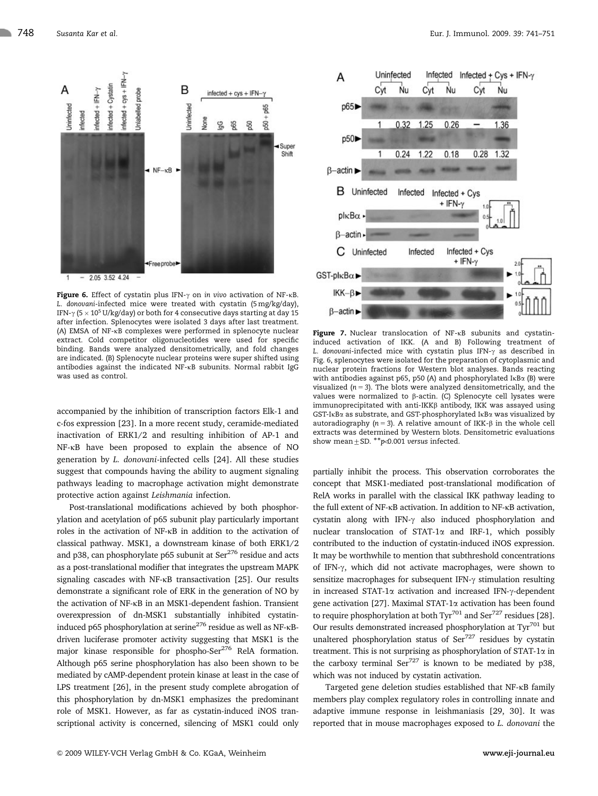

Figure 6. Effect of cystatin plus IFN- $\gamma$  on in vivo activation of NF- $\kappa$ B. L. donovani-infected mice were treated with cystatin (5 mg/kg/day), IFN- $\gamma$  (5  $\times$  10<sup>5</sup> U/kg/day) or both for 4 consecutive days starting at day 15 after infection. Splenocytes were isolated 3 days after last treatment. (A) EMSA of NF-kB complexes were performed in splenocyte nuclear extract. Cold competitor oligonucleotides were used for specific binding. Bands were analyzed densitometrically, and fold changes are indicated. (B) Splenocyte nuclear proteins were super shifted using antibodies against the indicated NF-kB subunits. Normal rabbit IgG was used as control.

accompanied by the inhibition of transcription factors Elk-1 and c-fos expression [23]. In a more recent study, ceramide-mediated inactivation of ERK1/2 and resulting inhibition of AP-1 and NF-kB have been proposed to explain the absence of NO generation by L. donovani-infected cells [24]. All these studies suggest that compounds having the ability to augment signaling pathways leading to macrophage activation might demonstrate protective action against Leishmania infection.

Post-translational modifications achieved by both phosphorylation and acetylation of p65 subunit play particularly important roles in the activation of NF-kB in addition to the activation of classical pathway. MSK1, a downstream kinase of both ERK1/2 and p38, can phosphorylate p65 subunit at  $\text{Ser}^{276}$  residue and acts as a post-translational modifier that integrates the upstream MAPK signaling cascades with NF-kB transactivation [25]. Our results demonstrate a significant role of ERK in the generation of NO by the activation of NF-kB in an MSK1-dependent fashion. Transient overexpression of dn-MSK1 substantially inhibited cystatininduced p65 phosphorylation at serine<sup>276</sup> residue as well as NF-<sub>KB</sub>driven luciferase promoter activity suggesting that MSK1 is the major kinase responsible for phospho-Ser<sup>276</sup> RelA formation. Although p65 serine phosphorylation has also been shown to be mediated by cAMP-dependent protein kinase at least in the case of LPS treatment [26], in the present study complete abrogation of this phosphorylation by dn-MSK1 emphasizes the predominant role of MSK1. However, as far as cystatin-induced iNOS transcriptional activity is concerned, silencing of MSK1 could only



Figure 7. Nuclear translocation of NF-KB subunits and cystatininduced activation of IKK. (A and B) Following treatment of L. donovani-infected mice with cystatin plus IFN- $\gamma$  as described in Fig. 6, splenocytes were isolated for the preparation of cytoplasmic and nuclear protein fractions for Western blot analyses. Bands reacting with antibodies against p65, p50 (A) and phosphorylated IKB $\alpha$  (B) were visualized ( $n = 3$ ). The blots were analyzed densitometrically, and the values were normalized to  $\beta$ -actin. (C) Splenocyte cell lysates were immunoprecipitated with anti-IKK $\beta$  antibody, IKK was assayed using GST-IkBa as substrate, and GST-phosphorylated IkBa was visualized by autoradiography ( $n = 3$ ). A relative amount of IKK- $\beta$  in the whole cell extracts was determined by Western blots. Densitometric evaluations show mean  $\pm$  SD.  $**$  p $\infty$ .001 versus infected.

partially inhibit the process. This observation corroborates the concept that MSK1-mediated post-translational modification of RelA works in parallel with the classical IKK pathway leading to the full extent of NF-kB activation. In addition to NF-kB activation, cystatin along with IFN- $\gamma$  also induced phosphorylation and nuclear translocation of STAT-1a and IRF-1, which possibly contributed to the induction of cystatin-induced iNOS expression. It may be worthwhile to mention that subthreshold concentrations of IFN- $\gamma$ , which did not activate macrophages, were shown to sensitize macrophages for subsequent IFN- $\gamma$  stimulation resulting in increased STAT-1 $\alpha$  activation and increased IFN- $\gamma$ -dependent gene activation [27]. Maximal STAT-1a activation has been found to require phosphorylation at both Tyr<sup>701</sup> and Ser<sup>727</sup> residues [28]. Our results demonstrated increased phosphorylation at Tyr<sup>701</sup> but unaltered phosphorylation status of  $\text{Ser}^{727}$  residues by cystatin treatment. This is not surprising as phosphorylation of STAT-1 $\alpha$  in the carboxy terminal  $\text{Ser}^{727}$  is known to be mediated by p38, which was not induced by cystatin activation.

Targeted gene deletion studies established that NF-kB family members play complex regulatory roles in controlling innate and adaptive immune response in leishmaniasis [29, 30]. It was reported that in mouse macrophages exposed to L. donovani the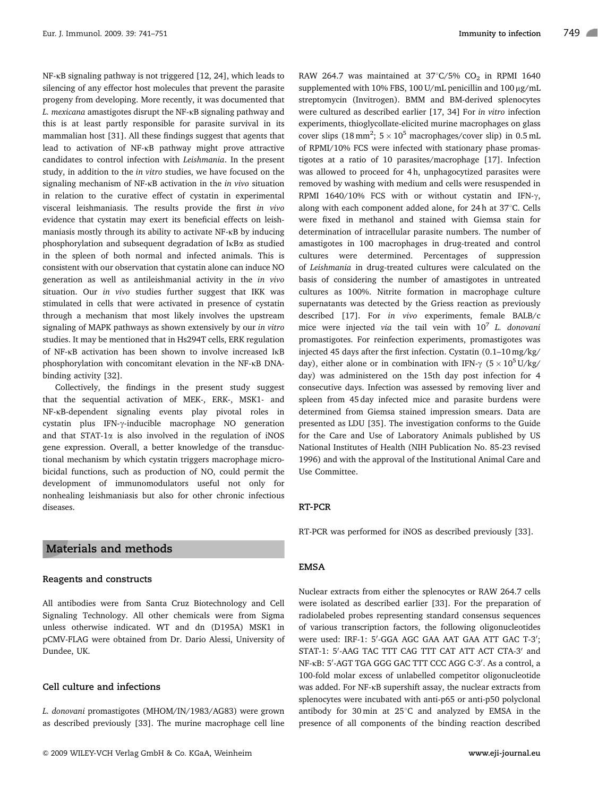NF-kB signaling pathway is not triggered [12, 24], which leads to silencing of any effector host molecules that prevent the parasite progeny from developing. More recently, it was documented that L. mexicana amastigotes disrupt the NF-kB signaling pathway and this is at least partly responsible for parasite survival in its mammalian host [31]. All these findings suggest that agents that lead to activation of NF-kB pathway might prove attractive candidates to control infection with Leishmania. In the present study, in addition to the in vitro studies, we have focused on the signaling mechanism of NF-kB activation in the in vivo situation in relation to the curative effect of cystatin in experimental visceral leishmaniasis. The results provide the first in vivo evidence that cystatin may exert its beneficial effects on leishmaniasis mostly through its ability to activate NF-kB by inducing phosphorylation and subsequent degradation of IkBa as studied in the spleen of both normal and infected animals. This is consistent with our observation that cystatin alone can induce NO generation as well as antileishmanial activity in the in vivo situation. Our in vivo studies further suggest that IKK was stimulated in cells that were activated in presence of cystatin through a mechanism that most likely involves the upstream signaling of MAPK pathways as shown extensively by our in vitro studies. It may be mentioned that in Hs294T cells, ERK regulation of NF-kB activation has been shown to involve increased IkB phosphorylation with concomitant elevation in the NF-kB DNAbinding activity [32].

Collectively, the findings in the present study suggest that the sequential activation of MEK-, ERK-, MSK1- and NF-kB-dependent signaling events play pivotal roles in cystatin plus IFN-g-inducible macrophage NO generation and that STAT-1 $\alpha$  is also involved in the regulation of iNOS gene expression. Overall, a better knowledge of the transductional mechanism by which cystatin triggers macrophage microbicidal functions, such as production of NO, could permit the development of immunomodulators useful not only for nonhealing leishmaniasis but also for other chronic infectious diseases.

## Materials and methods

#### Reagents and constructs

All antibodies were from Santa Cruz Biotechnology and Cell Signaling Technology. All other chemicals were from Sigma unless otherwise indicated. WT and dn (D195A) MSK1 in pCMV-FLAG were obtained from Dr. Dario Alessi, University of Dundee, UK.

#### Cell culture and infections

L. donovani promastigotes (MHOM/IN/1983/AG83) were grown as described previously [33]. The murine macrophage cell line

RAW 264.7 was maintained at  $37^{\circ}$ C/5% CO<sub>2</sub> in RPMI 1640 supplemented with 10% FBS, 100 U/mL penicillin and 100  $\mu$ g/mL streptomycin (Invitrogen). BMM and BM-derived splenocytes were cultured as described earlier [17, 34] For in vitro infection experiments, thioglycollate-elicited murine macrophages on glass cover slips (18 mm<sup>2</sup>;  $5 \times 10^5$  macrophages/cover slip) in 0.5 mL of RPMI/10% FCS were infected with stationary phase promastigotes at a ratio of 10 parasites/macrophage [17]. Infection was allowed to proceed for 4 h, unphagocytized parasites were removed by washing with medium and cells were resuspended in RPMI 1640/10% FCS with or without cystatin and IFN- $\gamma$ , along with each component added alone, for 24 $h$  at 37 $\degree$ C. Cells were fixed in methanol and stained with Giemsa stain for determination of intracellular parasite numbers. The number of amastigotes in 100 macrophages in drug-treated and control cultures were determined. Percentages of suppression of Leishmania in drug-treated cultures were calculated on the basis of considering the number of amastigotes in untreated cultures as 100%. Nitrite formation in macrophage culture supernatants was detected by the Griess reaction as previously described [17]. For in vivo experiments, female BALB/c mice were injected via the tail vein with  $10^7$  L. donovani promastigotes. For reinfection experiments, promastigotes was injected 45 days after the first infection. Cystatin (0.1–10 mg/kg/ day), either alone or in combination with IFN- $\gamma$  (5  $\times$  10<sup>5</sup>U/kg/ day) was administered on the 15th day post infection for 4 consecutive days. Infection was assessed by removing liver and spleen from 45 day infected mice and parasite burdens were determined from Giemsa stained impression smears. Data are presented as LDU [35]. The investigation conforms to the Guide for the Care and Use of Laboratory Animals published by US National Institutes of Health (NIH Publication No. 85-23 revised 1996) and with the approval of the Institutional Animal Care and Use Committee.

#### RT-PCR

RT-PCR was performed for iNOS as described previously [33].

#### EMSA

Nuclear extracts from either the splenocytes or RAW 264.7 cells were isolated as described earlier [33]. For the preparation of radiolabeled probes representing standard consensus sequences of various transcription factors, the following oligonucleotides were used: IRF-1: 5'-GGA AGC GAA AAT GAA ATT GAC T-3'; STAT-1: 5'-AAG TAC TTT CAG TTT CAT ATT ACT CTA-3' and NF-KB: 5'-AGT TGA GGG GAC TTT CCC AGG C-3'. As a control, a 100-fold molar excess of unlabelled competitor oligonucleotide was added. For NF-kB supershift assay, the nuclear extracts from splenocytes were incubated with anti-p65 or anti-p50 polyclonal antibody for 30 min at  $25^{\circ}$ C and analyzed by EMSA in the presence of all components of the binding reaction described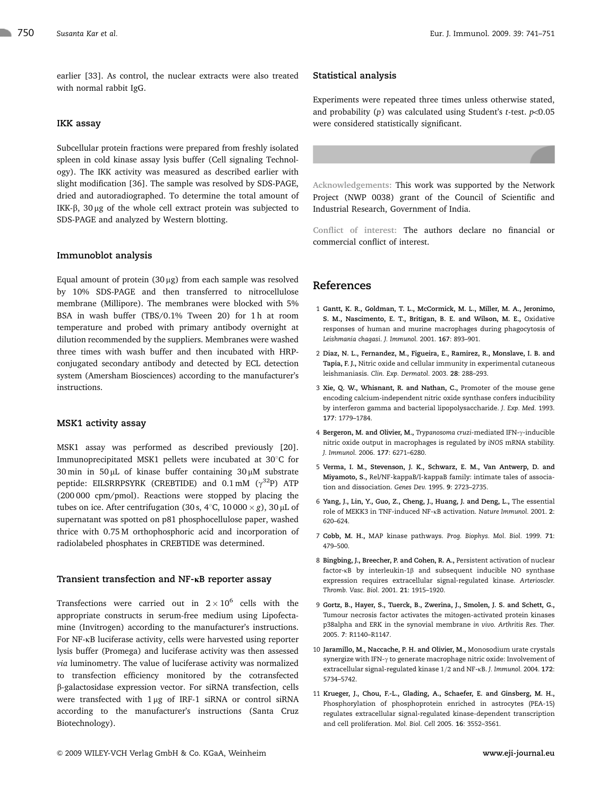earlier [33]. As control, the nuclear extracts were also treated with normal rabbit IgG.

#### IKK assay

Subcellular protein fractions were prepared from freshly isolated spleen in cold kinase assay lysis buffer (Cell signaling Technology). The IKK activity was measured as described earlier with slight modification [36]. The sample was resolved by SDS-PAGE, dried and autoradiographed. To determine the total amount of IKK- $\beta$ , 30 µg of the whole cell extract protein was subjected to SDS-PAGE and analyzed by Western blotting.

#### Immunoblot analysis

Equal amount of protein  $(30 \mu g)$  from each sample was resolved by 10% SDS-PAGE and then transferred to nitrocellulose membrane (Millipore). The membranes were blocked with 5% BSA in wash buffer (TBS/0.1% Tween 20) for 1h at room temperature and probed with primary antibody overnight at dilution recommended by the suppliers. Membranes were washed three times with wash buffer and then incubated with HRPconjugated secondary antibody and detected by ECL detection system (Amersham Biosciences) according to the manufacturer's instructions.

#### MSK1 activity assay

MSK1 assay was performed as described previously [20]. Immunoprecipitated MSK1 pellets were incubated at  $30^{\circ}$ C for  $30 \text{ min}$  in  $50 \mu$ L of kinase buffer containing  $30 \mu$ M substrate peptide: EILSRRPSYRK (CREBTIDE) and  $0.1 \text{ mM}$  ( $\gamma^{32}$ P) ATP (200 000 cpm/pmol). Reactions were stopped by placing the tubes on ice. After centrifugation (30 s, 4°C, 10 000  $\times$  g), 30 µL of supernatant was spotted on p81 phosphocellulose paper, washed thrice with 0.75 M orthophosphoric acid and incorporation of radiolabeled phosphates in CREBTIDE was determined.

#### Transient transfection and  $NF$ - $\kappa$ B reporter assay

Transfections were carried out in  $2 \times 10^6$  cells with the appropriate constructs in serum-free medium using Lipofectamine (Invitrogen) according to the manufacturer's instructions. For NF-kB luciferase activity, cells were harvested using reporter lysis buffer (Promega) and luciferase activity was then assessed via luminometry. The value of luciferase activity was normalized to transfection efficiency monitored by the cotransfected b-galactosidase expression vector. For siRNA transfection, cells were transfected with  $1 \mu$ g of IRF-1 siRNA or control siRNA according to the manufacturer's instructions (Santa Cruz Biotechnology).

Experiments were repeated three times unless otherwise stated, and probability (p) was calculated using Student's t-test.  $p<0.05$ were considered statistically significant.

Acknowledgements: This work was supported by the Network Project (NWP 0038) grant of the Council of Scientific and Industrial Research, Government of India.

Conflict of interest: The authors declare no financial or commercial conflict of interest.

## References

- 1 Gantt, K. R., Goldman, T. L., McCormick, M. L., Miller, M. A., Jeronimo, S. M., Nascimento, E. T., Britigan, B. E. and Wilson, M. E., Oxidative responses of human and murine macrophages during phagocytosis of Leishmania chagasi. J. Immunol. 2001. 167: 893–901.
- 2 Diaz, N. L., Fernandez, M., Figueira, E., Ramirez, R., Monslave, I. B. and Tapia, F. J., Nitric oxide and cellular immunity in experimental cutaneous leishmaniasis. Clin. Exp. Dermatol. 2003. 28: 288–293.
- 3 Xie, Q. W., Whisnant, R. and Nathan, C., Promoter of the mouse gene encoding calcium-independent nitric oxide synthase confers inducibility by interferon gamma and bacterial lipopolysaccharide. J. Exp. Med. 1993. 177: 1779–1784.
- 4 Bergeron, M. and Olivier, M., Trypanosoma cruzi-mediated IFN-y-inducible nitric oxide output in macrophages is regulated by iNOS mRNA stability. J. Immunol. 2006. 177: 6271–6280.
- 5 Verma, I. M., Stevenson, J. K., Schwarz, E. M., Van Antwerp, D. and Miyamoto, S., Rel/NF-kappaB/I-kappaB family: intimate tales of association and dissociation. Genes Dev. 1995. 9: 2723–2735.
- 6 Yang, J., Lin, Y., Guo, Z., Cheng, J., Huang, J. and Deng, L., The essential role of MEKK3 in TNF-induced NF-kB activation. Nature Immunol. 2001. 2: 620–624.
- 7 Cobb, M. H., MAP kinase pathways. Prog. Biophys. Mol. Biol. 1999. 71: 479–500.
- 8 Bingbing, J., Breecher, P. and Cohen, R. A., Persistent activation of nuclear factor- $\kappa$ B by interleukin-1 $\beta$  and subsequent inducible NO synthase expression requires extracellular signal-regulated kinase. Arterioscler. Thromb. Vasc. Biol. 2001. 21: 1915–1920.
- 9 Gortz, B., Hayer, S., Tuerck, B., Zwerina, J., Smolen, J. S. and Schett, G., Tumour necrosis factor activates the mitogen-activated protein kinases p38alpha and ERK in the synovial membrane in vivo. Arthritis Res. Ther. 2005. 7: R1140–R1147.
- 10 Jaramillo, M., Naccache, P. H. and Olivier, M., Monosodium urate crystals synergize with IFN- $\gamma$  to generate macrophage nitric oxide: Involvement of extracellular signal-regulated kinase 1/2 and NF-KB. J. Immunol. 2004. 172: 5734–5742.
- 11 Krueger, J., Chou, F.-L., Glading, A., Schaefer, E. and Ginsberg, M. H., Phosphorylation of phosphoprotein enriched in astrocytes (PEA-15) regulates extracellular signal-regulated kinase-dependent transcription and cell proliferation. Mol. Biol. Cell 2005. 16: 3552–3561.